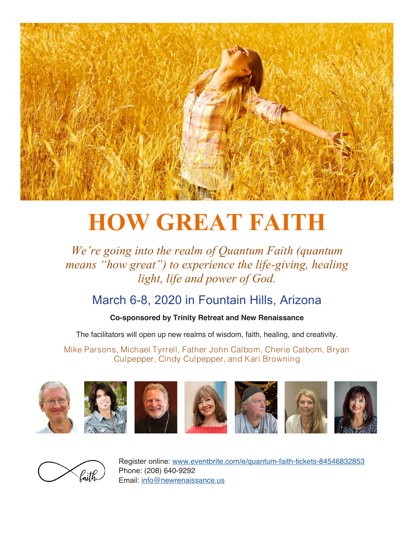

# **HOW GREAT FAITH**

## *We're going into the realm of Quantum Faith (quantum means "how great") to experience the life-giving, healing light, life and power of God.*

## March 6-8, 2020 in Fountain Hills, Arizona

### **Co-sponsored by Trinity Retreat and New Renaissance**

The facilitators will open up new realms of wisdom, faith, healing, and creativity.

Mike Parsons, Michael Tyrrell, Father John Calbom, Cherie Calbom, Bryan Culpepper, Cindy Culpepper, and Kari Browning





Register online: www.eventbrite.com/e/quantum-faith-tickets-84546832853 Phone: (208) 640-9292 Email: info@newrenaissance.us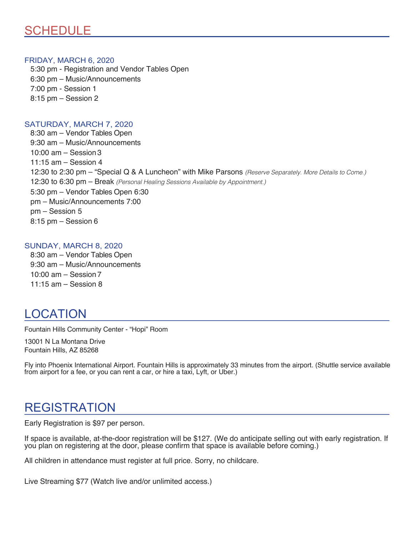## SCHEDULE

#### FRIDAY, MARCH 6, 2020

5:30 pm - Registration and Vendor Tables Open 6:30 pm – Music/Announcements 7:00 pm - Session 1 8:15 pm – Session 2

#### SATURDAY, MARCH 7, 2020

8:30 am – Vendor Tables Open 9:30 am – Music/Announcements 10:00 am – Session 3 11:15 am – Session 4 12:30 to 2:30 pm – "Special Q & A Luncheon" with Mike Parsons *(Reserve Separately. More Details to Come.)* 12:30 to 6:30 pm – Break *(Personal Healing Sessions Available by Appointment.)* 5:30 pm – Vendor Tables Open 6:30 pm – Music/Announcements 7:00 pm – Session 5 8:15 pm – Session 6

#### SUNDAY, MARCH 8, 2020

8:30 am – Vendor Tables Open 9:30 am – Music/Announcements 10:00 am – Session 7 11:15 am – Session 8

## LOCATION

Fountain Hills Community Center - "Hopi" Room

13001 N La Montana Drive Fountain Hills, AZ 85268

Fly into Phoenix International Airport. Fountain Hills is approximately 33 minutes from the airport. (Shuttle service available from airport for a fee, or you can rent a car, or hire a taxi, Lyft, or Uber.)

## REGISTRATION

Early Registration is \$97 per person.

If space is available, at-the-door registration will be \$127. (We do anticipate selling out with early registration. If you plan on registering at the door, please confirm that space is available before coming.)

All children in attendance must register at full price. Sorry, no childcare.

Live Streaming \$77 (Watch live and/or unlimited access.)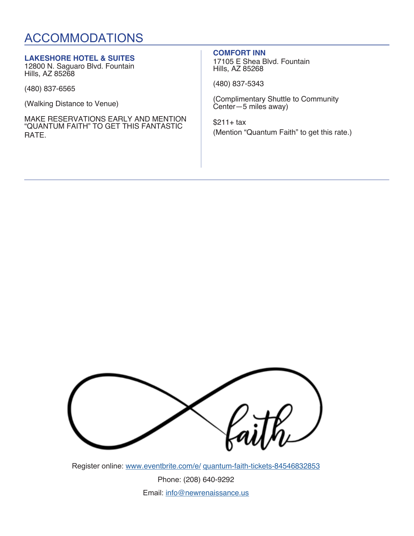## ACCOMMODATIONS

#### **LAKESHORE HOTEL & SUITES**

12800 N. Saguaro Blvd. Fountain Hills, AZ 85268

(480) 837-6565

(Walking Distance to Venue)

MAKE RESERVATIONS EARLY AND MENTION "QUANTUM FAITH" TO GET THIS FANTASTIC RATE.

#### **COMFORT INN**

17105 E Shea Blvd. Fountain Hills, AZ 85268

(480) 837-5343

(Complimentary Shuttle to Community Center—5 miles away)

 $$211+ tax$ (Mention "Quantum Faith" to get this rate.)



Register online: www.eventbrite.com/e/ quantum-faith-tickets-84546832853

Phone: (208) 640-9292 Email: info@newrenaissance.us